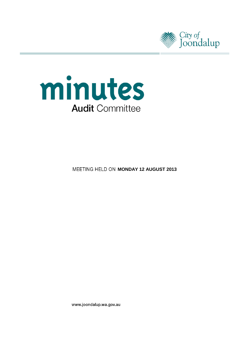



**MEETING HELD ON MONDAY 12 AUGUST 2013** 

www.joondalup.wa.gov.au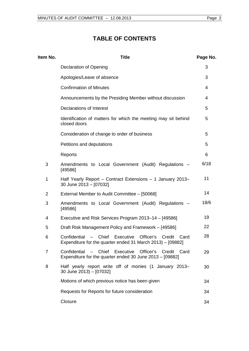# **TABLE OF CONTENTS**

| Item No.       | <b>Title</b>                                                                                                                      | Page No. |
|----------------|-----------------------------------------------------------------------------------------------------------------------------------|----------|
|                | Declaration of Opening                                                                                                            | 3        |
|                | Apologies/Leave of absence                                                                                                        | 3        |
|                | <b>Confirmation of Minutes</b>                                                                                                    | 4        |
|                | Announcements by the Presiding Member without discussion                                                                          | 4        |
|                | Declarations of Interest                                                                                                          | 5        |
|                | Identification of matters for which the meeting may sit behind<br>closed doors                                                    | 5        |
|                | Consideration of change to order of business                                                                                      | 5        |
|                | Petitions and deputations                                                                                                         | 5        |
|                | Reports                                                                                                                           | 6        |
| 3              | Amendments to Local Government (Audit) Regulations -<br>[49586]                                                                   | 6/18     |
| 1              | Half Yearly Report - Contract Extensions - 1 January 2013-<br>30 June 2013 - [07032]                                              | 11       |
| $\overline{2}$ | External Member to Audit Committee - [50068]                                                                                      | 14       |
| 3              | Amendments to Local Government (Audit) Regulations -<br>[49586]                                                                   | 18/6     |
| 4              | Executive and Risk Services Program 2013-14 - [49586]                                                                             | 19       |
| 5              | Draft Risk Management Policy and Framework – [49586]                                                                              | 22       |
| 6              | Confidential<br>- Chief<br>Officer's<br>Executive<br>Credit<br>Card<br>Expenditure for the quarter ended 31 March 2013) – [09882] | 28       |
| 7              | Confidential - Chief<br>Executive<br>Officer's<br>Credit<br>Card<br>Expenditure for the quarter ended 30 June 2013 - [09882]      | 29       |
| 8              | Half yearly report write off of monies (1 January 2013-<br>30 June 2013) - [07032]                                                | 30       |
|                | Motions of which previous notice has been given                                                                                   | 34       |
|                | Requests for Reports for future consideration                                                                                     | 34       |
|                | Closure                                                                                                                           | 34       |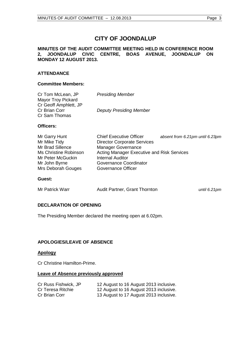# **CITY OF JOONDALUP**

### **MINUTES OF THE AUDIT COMMITTEE MEETING HELD IN CONFERENCE ROOM 2, JOONDALUP CIVIC CENTRE, BOAS AVENUE, JOONDALUP ON MONDAY 12 AUGUST 2013.**

### **ATTENDANCE**

### **Committee Members:**

| Cr Tom McLean, JP<br>Mayor Troy Pickard                 | <b>Presiding Member</b>        |
|---------------------------------------------------------|--------------------------------|
| Cr Geoff Amphlett, JP<br>Cr Brian Corr<br>Cr Sam Thomas | <b>Deputy Presiding Member</b> |

### **Officers:**

| <b>Chief Executive Officer</b>             | absent from 6.21pm until 6.23pm |
|--------------------------------------------|---------------------------------|
| <b>Director Corporate Services</b>         |                                 |
| <b>Manager Governance</b>                  |                                 |
| Acting Manager Executive and Risk Services |                                 |
| <b>Internal Auditor</b>                    |                                 |
| Governance Coordinator                     |                                 |
| Governance Officer                         |                                 |
|                                            |                                 |

### **Guest:**

| Mr Patrick Warr | <b>Audit Partner, Grant Thornton</b> | until 6.21pm |
|-----------------|--------------------------------------|--------------|
|-----------------|--------------------------------------|--------------|

### <span id="page-2-0"></span>**DECLARATION OF OPENING**

The Presiding Member declared the meeting open at 6.02pm.

### <span id="page-2-1"></span>**APOLOGIES/LEAVE OF ABSENCE**

### **Apology**

Cr Christine Hamilton-Prime.

### **Leave of Absence previously approved**

| Cr Russ Fishwick, JP | 12 August to 16 August 2013 inclusive. |
|----------------------|----------------------------------------|
| Cr Teresa Ritchie    | 12 August to 16 August 2013 inclusive. |
| Cr Brian Corr        | 13 August to 17 August 2013 inclusive. |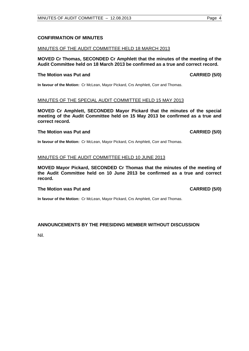### <span id="page-3-0"></span>**CONFIRMATION OF MINUTES**

### MINUTES OF THE AUDIT COMMITTEE HELD 18 MARCH 2013

### **MOVED Cr Thomas, SECONDED Cr Amphlett that the minutes of the meeting of the Audit Committee held on 18 March 2013 be confirmed as a true and correct record.**

### **The Motion was Put and CARRIED (5/0) CARRIED (5/0)**

**In favour of the Motion:** Cr McLean, Mayor Pickard, Crs Amphlett, Corr and Thomas.

### MINUTES OF THE SPECIAL AUDIT COMMITTEE HELD 15 MAY 2013

**MOVED Cr Amphlett, SECONDED Mayor Pickard that the minutes of the special meeting of the Audit Committee held on 15 May 2013 be confirmed as a true and correct record.**

### **The Motion was Put and CARRIED (5/0)**

**In favour of the Motion:** Cr McLean, Mayor Pickard, Crs Amphlett, Corr and Thomas.

### MINUTES OF THE AUDIT COMMITTEE HELD 10 JUNE 2013

**MOVED Mayor Pickard, SECONDED Cr Thomas that the minutes of the meeting of the Audit Committee held on 10 June 2013 be confirmed as a true and correct record.**

### **The Motion was Put and CARRIED (5/0)**

**In favour of the Motion:** Cr McLean, Mayor Pickard, Crs Amphlett, Corr and Thomas.

### <span id="page-3-1"></span>**ANNOUNCEMENTS BY THE PRESIDING MEMBER WITHOUT DISCUSSION**

Nil.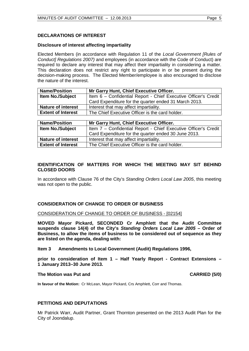### <span id="page-4-0"></span>**DECLARATIONS OF INTEREST**

### **Disclosure of interest affecting impartiality**

Elected Members (in accordance with Regulation 11 of the *Local Government [Rules of Conduct] Regulations 2007)* and employees (in accordance with the Code of Conduct) are required to declare any interest that may affect their impartiality in considering a matter. This declaration does not restrict any right to participate in or be present during the decision-making process. The Elected Member/employee is also encouraged to disclose the nature of the interest.

| <b>Name/Position</b>      | Mr Garry Hunt, Chief Executive Officer.                         |
|---------------------------|-----------------------------------------------------------------|
| <b>Item No./Subject</b>   | Item 6 - Confidential Report - Chief Executive Officer's Credit |
|                           | Card Expenditure for the quarter ended 31 March 2013.           |
| <b>Nature of interest</b> | Interest that may affect impartiality.                          |
| <b>Extent of Interest</b> | The Chief Executive Officer is the card holder.                 |

| <b>Name/Position</b>      | Mr Garry Hunt, Chief Executive Officer.                         |
|---------------------------|-----------------------------------------------------------------|
| Item No./Subject          | Item 7 - Confidential Report - Chief Executive Officer's Credit |
|                           | Card Expenditure for the quarter ended 30 June 2013.            |
| <b>Nature of interest</b> | Interest that may affect impartiality.                          |
| <b>Extent of Interest</b> | The Chief Executive Officer is the card holder.                 |

### <span id="page-4-1"></span>**IDENTIFICATION OF MATTERS FOR WHICH THE MEETING MAY SIT BEHIND CLOSED DOORS**

In accordance with Clause 76 of the City's *Standing Orders Local Law 2005*, this meeting was not open to the public.

### <span id="page-4-2"></span>**CONSIDERATION OF CHANGE TO ORDER OF BUSINESS**

CONSIDERATION OF CHANGE TO ORDER OF BUSINESS - [02154]

**MOVED Mayor Pickard, SECONDED Cr Amphlett that the Audit Committee suspends clause 14(4) of the City's** *Standing Orders Local Law 2005* **– Order of Business, to allow the items of business to be considered out of sequence as they are listed on the agenda, dealing with:**

**Item 3 Amendments to Local Government (Audit) Regulations 1996,**

**prior to consideration of Item 1 – Half Yearly Report - Contract Extensions – 1 January 2013–30 June 2013.**

#### **The Motion was Put and CARRIED (5/0)**

**In favour of the Motion:** Cr McLean, Mayor Pickard, Crs Amphlett, Corr and Thomas.

### <span id="page-4-3"></span>**PETITIONS AND DEPUTATIONS**

Mr Patrick Warr, Audit Partner, Grant Thornton presented on the 2013 Audit Plan for the City of Joondalup.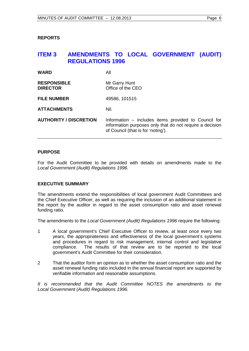<span id="page-5-0"></span>**REPORTS**

# <span id="page-5-1"></span>**ITEM 3 AMENDMENTS TO LOCAL GOVERNMENT (AUDIT) REGULATIONS 1996**

| <b>WARD</b>                           | All                                                                                                                                                    |
|---------------------------------------|--------------------------------------------------------------------------------------------------------------------------------------------------------|
| <b>RESPONSIBLE</b><br><b>DIRECTOR</b> | Mr Garry Hunt<br>Office of the CEO                                                                                                                     |
| <b>FILE NUMBER</b>                    | 49586, 101515                                                                                                                                          |
| <b>ATTACHMENTS</b>                    | Nil.                                                                                                                                                   |
| <b>AUTHORITY / DISCRETION</b>         | Information – includes items provided to Council for<br>information purposes only that do not require a decision<br>of Council (that is for 'noting'). |

### **PURPOSE**

For the Audit Committee to be provided with details on amendments made to the *Local Government (Audit) Regulations 1996.* 

### **EXECUTIVE SUMMARY**

The amendments extend the responsibilities of local government Audit Committees and the Chief Executive Officer, as well as requiring the inclusion of an additional statement in the report by the auditor in regard to the asset consumption ratio and asset renewal funding ratio.

The amendments to the *Local Government (Audit) Regulations 1996* require the following:

- 1 A local government's Chief Executive Officer to review, at least once every two years, the appropriateness and effectiveness of the local government's systems and procedures in regard to risk management, internal control and legislative compliance. The results of that review are to be reported to the local government's Audit Committee for their consideration.
- 2 That the auditor form an opinion as to whether the asset consumption ratio and the asset renewal funding ratio included in the annual financial report are supported by verifiable information and reasonable assumptions.

*It is recommended that the Audit Committee NOTES the amendments to the Local Government (Audit) Regulations 1996.*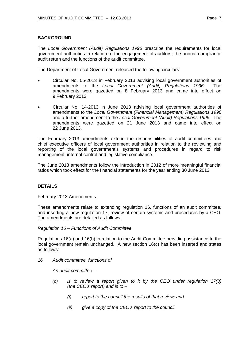### **BACKGROUND**

The *Local Government (Audit) Regulations 1996* prescribe the requirements for local government authorities in relation to the engagement of auditors, the annual compliance audit return and the functions of the audit committee.

The Department of Local Government released the following circulars:

- Circular No. 05-2013 in February 2013 advising local government authorities of amendments to the *Local Government (Audit) Regulations 1996*. The amendments were gazetted on 8 February 2013 and came into effect on 9 February 2013.
- Circular No. 14-2013 in June 2013 advising local government authorities of amendments to the *Local Government (Financial Management) Regulations 1996* and a further amendment to the *Local Government (Audit) Regulations 1996*. The amendments were gazetted on 21 June 2013 and came into effect on 22 June 2013.

The February 2013 amendments extend the responsibilities of audit committees and chief executive officers of local government authorities in relation to the reviewing and reporting of the local government's systems and procedures in regard to risk management, internal control and legislative compliance.

The June 2013 amendments follow the introduction in 2012 of more meaningful financial ratios which took effect for the financial statements for the year ending 30 June 2013.

### **DETAILS**

### February 2013 Amendments

These amendments relate to extending regulation 16, functions of an audit committee, and inserting a new regulation 17, review of certain systems and procedures by a CEO. The amendments are detailed as follows:

*Regulation 16 – Functions of Audit Committee*

Regulations 16(a) and 16(b) in relation to the Audit Committee providing assistance to the local government remain unchanged. A new section 16(c) has been inserted and states as follows:

*16 Audit committee, functions of*

*An audit committee –*

- *(c) is to review a report given to it by the CEO under regulation 17(3) (the CEO's report) and is to –*
	- *(i) report to the council the results of that review; and*
	- *(ii) give a copy of the CEO's report to the council.*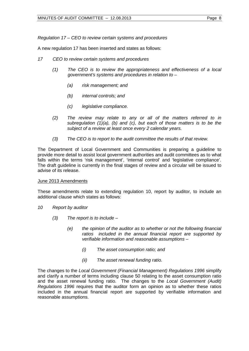*Regulation 17 – CEO to review certain systems and procedures*

A new regulation 17 has been inserted and states as follows:

- *17 CEO to review certain systems and procedures*
	- *(1) The CEO is to review the appropriateness and effectiveness of a local government's systems and procedures in relation to –*
		- *(a) risk management; and*
		- *(b) internal controls; and*
		- *(c) legislative compliance.*
	- *(2) The review may relate to any or all of the matters referred to in subregulation (1)(a), (b) and (c), but each of those matters is to be the subject of a review at least once every 2 calendar years.*
	- *(3) The CEO is to report to the audit committee the results of that review.*

The Department of Local Government and Communities is preparing a guideline to provide more detail to assist local government authorities and audit committees as to what falls within the terms 'risk management', 'internal control' and 'legislative compliance'. The draft guideline is currently in the final stages of review and a circular will be issued to advise of its release.

### June 2013 Amendments

These amendments relate to extending regulation 10, report by auditor, to include an additional clause which states as follows:

- *10 Report by auditor*
	- *(3) The report is to include –*
		- *(e) the opinion of the auditor as to whether or not the following financial ratios included in the annual financial report are supported by verifiable information and reasonable assumptions –*
			- *(i) The asset consumption ratio; and*
			- *(ii) The asset renewal funding ratio.*

The changes to the *Local Government (Financial Management) Regulations 1996* simplify and clarify a number of terms including clause 50 relating to the asset consumption ratio and the asset renewal funding ratio. The changes to the *Local Government (Audit) Regulations 1996* requires that the auditor form an opinion as to whether these ratios included in the annual financial report are supported by verifiable information and reasonable assumptions.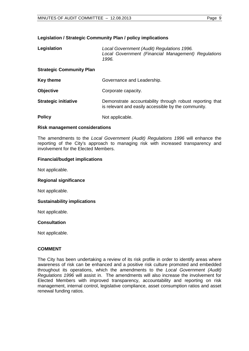### **Legislation / Strategic Community Plan / policy implications**

| Legislation | Local Government (Audit) Regulations 1996.          |  |  |
|-------------|-----------------------------------------------------|--|--|
|             | Local Government (Financial Management) Regulations |  |  |
|             | 1996.                                               |  |  |

### **Strategic Community Plan**

| Key theme                   | Governance and Leadership.                                                                                      |
|-----------------------------|-----------------------------------------------------------------------------------------------------------------|
| <b>Objective</b>            | Corporate capacity.                                                                                             |
| <b>Strategic initiative</b> | Demonstrate accountability through robust reporting that<br>is relevant and easily accessible by the community. |
| <b>Policy</b>               | Not applicable.                                                                                                 |

### **Risk management considerations**

The amendments to the *Local Government (Audit) Regulations 1996* will enhance the reporting of the City's approach to managing risk with increased transparency and involvement for the Elected Members.

### **Financial/budget implications**

Not applicable.

### **Regional significance**

Not applicable.

### **Sustainability implications**

Not applicable.

### **Consultation**

Not applicable.

### **COMMENT**

The City has been undertaking a review of its risk profile in order to identify areas where awareness of risk can be enhanced and a positive risk culture promoted and embedded throughout its operations, which the amendments to the *Local Government (Audit) Regulations 1996* will assist in. The amendments will also increase the involvement for Elected Members with improved transparency, accountability and reporting on risk management, internal control, legislative compliance, asset consumption ratios and asset renewal funding ratios.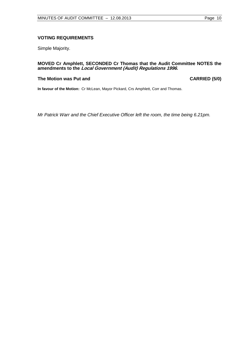### **VOTING REQUIREMENTS**

Simple Majority.

### **MOVED Cr Amphlett, SECONDED Cr Thomas that the Audit Committee NOTES the amendments to the Local Government (Audit) Regulations 1996.**

### The Motion was Put and **CARRIED** (5/0)

**In favour of the Motion:** Cr McLean, Mayor Pickard, Crs Amphlett, Corr and Thomas.

*Mr Patrick Warr and the Chief Executive Officer left the room, the time being 6.21pm.*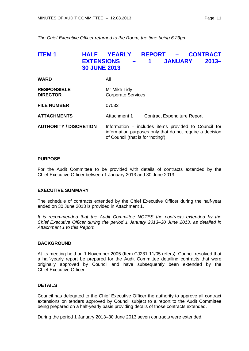*The Chief Executive Officer returned to the Room, the time being 6.23pm.* 

# <span id="page-10-0"></span>**ITEM 1 HALF YEARLY REPORT – CONTRACT EXTENSIONS – 1 JANUARY 2013– 30 JUNE 2013**

| WARD                                  | All                                                                                                                                                    |                                    |
|---------------------------------------|--------------------------------------------------------------------------------------------------------------------------------------------------------|------------------------------------|
| <b>RESPONSIBLE</b><br><b>DIRECTOR</b> | Mr Mike Tidy<br><b>Corporate Services</b>                                                                                                              |                                    |
| <b>FILE NUMBER</b>                    | 07032                                                                                                                                                  |                                    |
| <b>ATTACHMENTS</b>                    | Attachment 1                                                                                                                                           | <b>Contract Expenditure Report</b> |
| <b>AUTHORITY / DISCRETION</b>         | Information – includes items provided to Council for<br>information purposes only that do not require a decision<br>of Council (that is for 'noting'). |                                    |

### **PURPOSE**

For the Audit Committee to be provided with details of contracts extended by the Chief Executive Officer between 1 January 2013 and 30 June 2013.

### **EXECUTIVE SUMMARY**

The schedule of contracts extended by the Chief Executive Officer during the half-year ended on 30 June 2013 is provided in Attachment 1.

*It is recommended that the Audit Committee NOTES the contracts extended by the Chief Executive Officer during the period 1 January 2013–30 June 2013, as detailed in Attachment 1 to this Report.*

### **BACKGROUND**

At its meeting held on 1 November 2005 (Item CJ231-11/05 refers), Council resolved that a half-yearly report be prepared for the Audit Committee detailing contracts that were originally approved by Council and have subsequently been extended by the Chief Executive Officer.

### **DETAILS**

Council has delegated to the Chief Executive Officer the authority to approve all contract extensions on tenders approved by Council subject to a report to the Audit Committee being prepared on a half-yearly basis providing details of those contracts extended.

During the period 1 January 2013–30 June 2013 seven contracts were extended.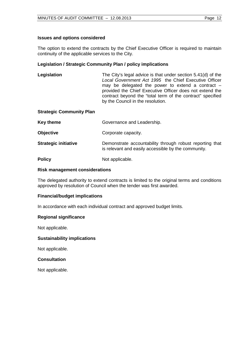### **Issues and options considered**

The option to extend the contracts by the Chief Executive Officer is required to maintain continuity of the applicable services to the City.

### **Legislation / Strategic Community Plan / policy implications**

**Legislation** The City's legal advice is that under section 5.41(d) of the *Local Government Act 1995* the Chief Executive Officer may be delegated the power to extend a contract  $$ provided the Chief Executive Officer does not extend the contract beyond the "total term of the contract" specified by the Council in the resolution.

### **Strategic Community Plan**

| Key theme                   | Governance and Leadership.                                                                                      |
|-----------------------------|-----------------------------------------------------------------------------------------------------------------|
| <b>Objective</b>            | Corporate capacity.                                                                                             |
| <b>Strategic initiative</b> | Demonstrate accountability through robust reporting that<br>is relevant and easily accessible by the community. |
| <b>Policy</b>               | Not applicable.                                                                                                 |

### **Risk management considerations**

The delegated authority to extend contracts is limited to the original terms and conditions approved by resolution of Council when the tender was first awarded.

### **Financial/budget implications**

In accordance with each individual contract and approved budget limits.

### **Regional significance**

Not applicable.

### **Sustainability implications**

Not applicable.

### **Consultation**

Not applicable.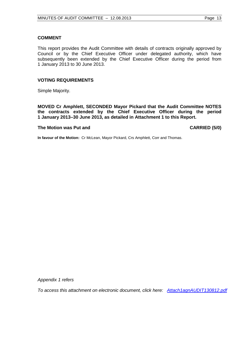### **COMMENT**

This report provides the Audit Committee with details of contracts originally approved by Council or by the Chief Executive Officer under delegated authority, which have subsequently been extended by the Chief Executive Officer during the period from 1 January 2013 to 30 June 2013.

### **VOTING REQUIREMENTS**

Simple Majority.

**MOVED Cr Amphlett, SECONDED Mayor Pickard that the Audit Committee NOTES the contracts extended by the Chief Executive Officer during the period 1 January 2013–30 June 2013, as detailed in Attachment 1 to this Report.**

### The Motion was Put and **CARRIED** (5/0)

**In favour of the Motion:** Cr McLean, Mayor Pickard, Crs Amphlett, Corr and Thomas.

*Appendix 1 refers*

<span id="page-12-0"></span>*To access this attachment on electronic document, click he[re: Attach1agnAUDIT130812.pdf](http://www.joondalup.wa.gov.au/files/committees/AUDT/2013/Attach1agnAUDIT130812.pdf)*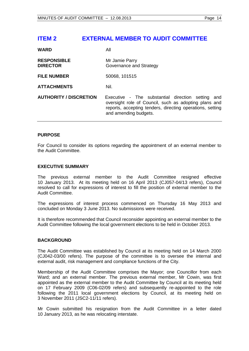# **ITEM 2 EXTERNAL MEMBER TO AUDIT COMMITTEE**

| <b>WARD</b>                           | All                                                                                                                                                                                                 |
|---------------------------------------|-----------------------------------------------------------------------------------------------------------------------------------------------------------------------------------------------------|
| <b>RESPONSIBLE</b><br><b>DIRECTOR</b> | Mr Jamie Parry<br>Governance and Strategy                                                                                                                                                           |
| <b>FILE NUMBER</b>                    | 50068, 101515                                                                                                                                                                                       |
| <b>ATTACHMENTS</b>                    | Nil.                                                                                                                                                                                                |
| <b>AUTHORITY / DISCRETION</b>         | Executive - The substantial direction setting<br>and<br>oversight role of Council, such as adopting plans and<br>reports, accepting tenders, directing operations, setting<br>and amending budgets. |

### **PURPOSE**

For Council to consider its options regarding the appointment of an external member to the Audit Committee.

### **EXECUTIVE SUMMARY**

The previous external member to the Audit Committee resigned effective 10 January 2013. At its meeting held on 16 April 2013 (CJ057-04/13 refers), Council resolved to call for expressions of interest to fill the position of external member to the Audit Committee.

The expressions of interest process commenced on Thursday 16 May 2013 and concluded on Monday 3 June 2013. No submissions were received.

It is therefore recommended that Council reconsider appointing an external member to the Audit Committee following the local government elections to be held in October 2013.

### **BACKGROUND**

The Audit Committee was established by Council at its meeting held on 14 March 2000 (CJ042-03/00 refers). The purpose of the committee is to oversee the internal and external audit, risk management and compliance functions of the City.

Membership of the Audit Committee comprises the Mayor; one Councillor from each Ward; and an external member. The previous external member, Mr Cowin, was first appointed as the external member to the Audit Committee by Council at its meeting held on 17 February 2009 (C06-02/09 refers) and subsequently re-appointed to the role following the 2011 local government elections by Council, at its meeting held on 3 November 2011 (JSC2-11/11 refers).

Mr Cowin submitted his resignation from the Audit Committee in a letter dated 10 January 2013, as he was relocating interstate.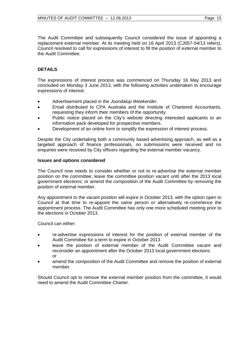The Audit Committee and subsequently Council considered the issue of appointing a replacement external member. At its meeting held on 16 April 2013 (CJ057-04/13 refers), Council resolved to call for expressions of interest to fill the position of external member to the Audit Committee.

### **DETAILS**

The expressions of interest process was commenced on Thursday 16 May 2013 and concluded on Monday 3 June 2013, with the following activities undertaken to encourage expressions of interest:

- Advertisement placed in the *Joondalup Weekender*.
- Email distributed to CPA Australia and the Institute of Chartered Accountants, requesting they inform their members of the opportunity.
- Public notice placed on the City's website directing interested applicants to an information pack developed for prospective members.
- Development of an online form to simplify the expression of interest process.

Despite the City undertaking both a community based advertising approach, as well as a targeted approach of finance professionals, no submissions were received and no enquiries were received by City officers regarding the external member vacancy.

### **Issues and options considered**

The Council now needs to consider whether or not to re-advertise the external member position on the committee; leave the committee position vacant until after the 2013 local government elections; or amend the composition of the Audit Committee by removing the position of external member.

Any appointment to the vacant position will expire in October 2013, with the option open to Council at that time to re-appoint the same person or alternatively re-commence the appointment process. The Audit Committee has only one more scheduled meeting prior to the elections in October 2013.

Council can either:

- re-advertise expressions of interest for the position of external member of the Audit Committee for a term to expire in October 2013
- leave the position of external member of the Audit Committee vacant and reconsider an appointment after the October 2013 local government elections or
- amend the composition of the Audit Committee and remove the position of external member.

Should Council opt to remove the external member position from the committee, it would need to amend the Audit Committee Charter.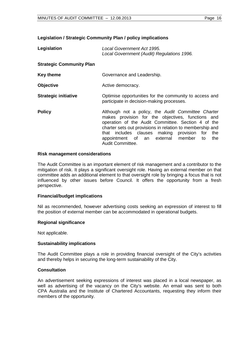### **Legislation / Strategic Community Plan / policy implications**

| Legislation | Local Government Act 1995.                 |
|-------------|--------------------------------------------|
|             | Local Government (Audit) Regulations 1996. |
|             |                                            |

### **Strategic Community Plan**

| <b>Key theme</b><br>Governance and Leadership. |  |
|------------------------------------------------|--|
|------------------------------------------------|--|

### **Objective Active democracy.**

- **Strategic initiative C**optimise opportunities for the community to access and participate in decision-making processes.
- **Policy** Although not a policy, the *Audit Committee Charter* makes provision for the objectives, functions and operation of the Audit Committee. Section 4 of the charter sets out provisions in relation to membership and that includes clauses making provision for the appointment of an external member to the Audit Committee.

### **Risk management considerations**

The Audit Committee is an important element of risk management and a contributor to the mitigation of risk. It plays a significant oversight role. Having an external member on that committee adds an additional element to that oversight role by bringing a focus that is not influenced by other issues before Council. It offers the opportunity from a fresh perspective.

### **Financial/budget implications**

Nil as recommended, however advertising costs seeking an expression of interest to fill the position of external member can be accommodated in operational budgets.

### **Regional significance**

Not applicable.

### **Sustainability implications**

The Audit Committee plays a role in providing financial oversight of the City's activities and thereby helps in securing the long-term sustainability of the City.

### **Consultation**

An advertisement seeking expressions of interest was placed in a local newspaper, as well as advertising of the vacancy on the City's website. An email was sent to both CPA Australia and the Institute of Chartered Accountants, requesting they inform their members of the opportunity.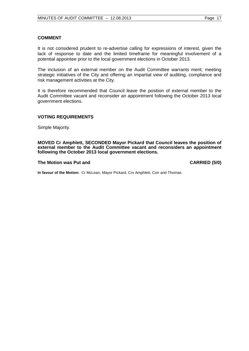### **COMMENT**

It is not considered prudent to re-advertise calling for expressions of interest, given the lack of response to date and the limited timeframe for meaningful involvement of a potential appointee prior to the local government elections in October 2013.

The inclusion of an external member on the Audit Committee warrants merit; meeting strategic initiatives of the City and offering an impartial view of auditing, compliance and risk management activities at the City.

It is therefore recommended that Council leave the position of external member to the Audit Committee vacant and reconsider an appointment following the October 2013 local government elections.

### **VOTING REQUIREMENTS**

Simple Majority.

#### **MOVED Cr Amphlett, SECONDED Mayor Pickard that Council leaves the position of external member to the Audit Committee vacant and reconsiders an appointment following the October 2013 local government elections.**

### **The Motion was Put and CARRIED (5/0)**

**In favour of the Motion:** Cr McLean, Mayor Pickard, Crs Amphlett, Corr and Thomas.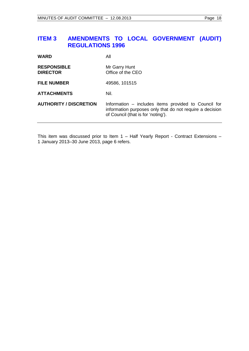# <span id="page-17-1"></span>**ITEM 3 AMENDMENTS TO LOCAL GOVERNMENT (AUDIT) REGULATIONS 1996**

| <b>WARD</b>                           | All                                                                                                                                                    |
|---------------------------------------|--------------------------------------------------------------------------------------------------------------------------------------------------------|
| <b>RESPONSIBLE</b><br><b>DIRECTOR</b> | Mr Garry Hunt<br>Office of the CEO                                                                                                                     |
| <b>FILE NUMBER</b>                    | 49586, 101515                                                                                                                                          |
| <b>ATTACHMENTS</b>                    | Nil.                                                                                                                                                   |
| <b>AUTHORITY / DISCRETION</b>         | Information – includes items provided to Council for<br>information purposes only that do not require a decision<br>of Council (that is for 'noting'). |

<span id="page-17-0"></span>This item was discussed prior to Item 1 – Half Yearly Report - Contract Extensions – 1 January 2013–30 June 2013, page [6](#page-5-1) refers.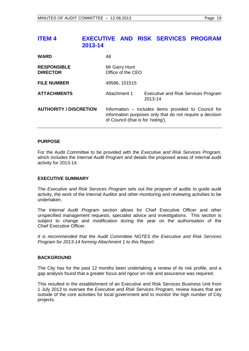### **ITEM 4 EXECUTIVE AND RISK SERVICES PROGRAM 2013-14**

| <b>WARD</b>                           | All                                                                                                                                                    |                                                |  |
|---------------------------------------|--------------------------------------------------------------------------------------------------------------------------------------------------------|------------------------------------------------|--|
| <b>RESPONSIBLE</b><br><b>DIRECTOR</b> | Mr Garry Hunt<br>Office of the CEO                                                                                                                     |                                                |  |
| <b>FILE NUMBER</b>                    | 49586, 101515                                                                                                                                          |                                                |  |
| <b>ATTACHMENTS</b>                    | Attachment 1                                                                                                                                           | Executive and Risk Services Program<br>2013-14 |  |
| <b>AUTHORITY / DISCRETION</b>         | Information – includes items provided to Council for<br>information purposes only that do not require a decision<br>of Council (that is for 'noting'). |                                                |  |

### **PURPOSE**

For the Audit Committee to be provided with the *Executive and Risk Services Program*, which includes the *Internal Audit Program* and details the proposed areas of internal audit activity for 2013-14.

### **EXECUTIVE SUMMARY**

The *Executive and Risk Services Program* sets out the program of audits to guide audit activity, the work of the Internal Auditor and other monitoring and reviewing activities to be undertaken.

The *Internal Audit Program* section allows for Chief Executive Officer and other unspecified management requests, specialist advice and investigations. This section is subject to change and modification during the year on the authorisation of the Chief Executive Officer.

*It is recommended that the Audit Committee NOTES the Executive and Risk Services Program for 2013-14 forming Attachment 1 to this Report.*

### **BACKGROUND**

The City has for the past 12 months been undertaking a review of its risk profile, and a gap analysis found that a greater focus and rigour on risk and assurance was required.

This resulted in the establishment of an Executive and Risk Services Business Unit from 1 July 2013 to oversee the *Executive and Risk Services Program*, review issues that are outside of the core activities for local government and to monitor the high number of City projects.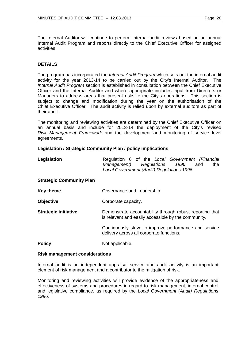The Internal Auditor will continue to perform internal audit reviews based on an annual Internal Audit Program and reports directly to the Chief Executive Officer for assigned activities.

### **DETAILS**

The program has incorporated the *Internal Audit Program* which sets out the internal audit activity for the year 2013-14 to be carried out by the City's Internal Auditor. The *Internal Audit Program* section is established in consultation between the Chief Executive Officer and the Internal Auditor and where appropriate includes input from Directors or Managers to address areas that present risks to the City's operations. This section is subject to change and modification during the year on the authorisation of the Chief Executive Officer. The audit activity is relied upon by external auditors as part of their audit.

The monitoring and reviewing activities are determined by the Chief Executive Officer on an annual basis and include for 2013-14 the deployment of the City's revised *Risk Management Framework* and the development and monitoring of service level agreements.

### **Legislation / Strategic Community Plan / policy implications**

| Legislation | Regulation 6 of the Local Government (Financial |  |  |     |     |
|-------------|-------------------------------------------------|--|--|-----|-----|
|             | Management) Regulations 1996                    |  |  | and | the |
|             | Local Government (Audit) Regulations 1996.      |  |  |     |     |

### **Strategic Community Plan**

**Key theme Governance and Leadership.** 

**Objective** Corporate capacity.

**Strategic initiative Demonstrate accountability through robust reporting that** is relevant and easily accessible by the community.

> Continuously strive to improve performance and service delivery across all corporate functions.

**Policy** Not applicable.

### **Risk management considerations**

Internal audit is an independent appraisal service and audit activity is an important element of risk management and a contributor to the mitigation of risk.

Monitoring and reviewing activities will provide evidence of the appropriateness and effectiveness of systems and procedures in regard to risk management, internal control and legislative compliance, as required by the *Local Government (Audit) Regulations 1996.*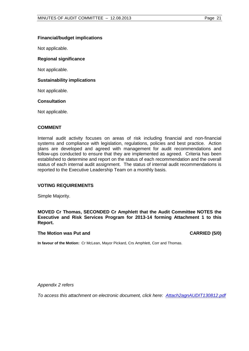### **Financial/budget implications**

Not applicable.

### **Regional significance**

Not applicable.

### **Sustainability implications**

Not applicable.

### **Consultation**

Not applicable.

### **COMMENT**

Internal audit activity focuses on areas of risk including financial and non-financial systems and compliance with legislation, regulations, policies and best practice. Action plans are developed and agreed with management for audit recommendations and follow-ups conducted to ensure that they are implemented as agreed. Criteria has been established to determine and report on the status of each recommendation and the overall status of each internal audit assignment. The status of internal audit recommendations is reported to the Executive Leadership Team on a monthly basis.

### **VOTING REQUIREMENTS**

Simple Majority.

### **MOVED Cr Thomas, SECONDED Cr Amphlett that the Audit Committee NOTES the Executive and Risk Services Program for 2013-14 forming Attachment 1 to this Report.**

### **The Motion was Put and CARRIED (5/0)**

**In favour of the Motion:** Cr McLean, Mayor Pickard, Crs Amphlett, Corr and Thomas.

*Appendix 2 refers*

<span id="page-20-0"></span>*To access this attachment on electronic document, click her[e: Attach2agnAUDIT130812.pdf](http://www.joondalup.wa.gov.au/files/committees/AUDT/2013/Attach2agnAUDIT130812.pdf)*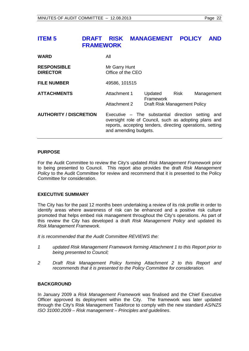# **ITEM 5 DRAFT RISK MANAGEMENT POLICY AND FRAMEWORK**

| WARD                                  | All                                                                                                                                                                                          |                                     |      |            |
|---------------------------------------|----------------------------------------------------------------------------------------------------------------------------------------------------------------------------------------------|-------------------------------------|------|------------|
| <b>RESPONSIBLE</b><br><b>DIRECTOR</b> | Mr Garry Hunt<br>Office of the CEO                                                                                                                                                           |                                     |      |            |
| <b>FILE NUMBER</b>                    | 49586, 101515                                                                                                                                                                                |                                     |      |            |
| <b>ATTACHMENTS</b>                    | Attachment 1                                                                                                                                                                                 | Updated<br>Framework                | Risk | Management |
|                                       | Attachment 2                                                                                                                                                                                 | <b>Draft Risk Management Policy</b> |      |            |
| <b>AUTHORITY / DISCRETION</b>         | Executive – The substantial direction setting<br>oversight role of Council, such as adopting plans and<br>reports, accepting tenders, directing operations, setting<br>and amending budgets. |                                     |      | and        |

### **PURPOSE**

For the Audit Committee to review the City's updated *Risk Management Framework* prior to being presented to Council. This report also provides the draft *Risk Management Policy* to the Audit Committee for review and recommend that it is presented to the Policy Committee for consideration.

### **EXECUTIVE SUMMARY**

The City has for the past 12 months been undertaking a review of its risk profile in order to identify areas where awareness of risk can be enhanced and a positive risk culture promoted that helps embed risk management throughout the City's operations. As part of this review the City has developed a draft *Risk Management Policy* and updated its *Risk Management Framework.* 

*It is recommended that the Audit Committee REVIEWS the:*

- *1 updated Risk Management Framework forming Attachment 1 to this Report prior to being presented to Council;*
- *2 Draft Risk Management Policy forming Attachment 2 to this Report and recommends that it is presented to the Policy Committee for consideration.*

### **BACKGROUND**

In January 2009 a *Risk Management Framework* was finalised and the Chief Executive Officer approved its deployment within the City. The framework was later updated through the City's Risk Management Taskforce to comply with the new standard *AS/NZS ISO 31000:2009 – Risk management – Principles and guidelines*.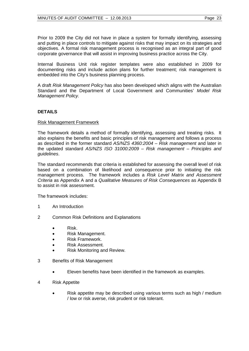Prior to 2009 the City did not have in place a system for formally identifying, assessing and putting in place controls to mitigate against risks that may impact on its strategies and objectives. A formal risk management process is recognised as an integral part of good corporate governance that will assist in improving business practice across the City.

Internal Business Unit risk register templates were also established in 2009 for documenting risks and include action plans for further treatment; risk management is embedded into the City's business planning process.

A draft *Risk Management Policy* has also been developed which aligns with the Australian Standard and the Department of Local Government and Communities' *Model Risk Management Policy.*

### **DETAILS**

### Risk Management Framework

The framework details a method of formally identifying, assessing and treating risks. It also explains the benefits and basic principles of risk management and follows a process as described in the former standard *AS/NZS 4360:2004 – Risk management* and later in the updated standard *AS/NZS ISO 31000:2009 – Risk management – Principles and guidelines*.

The standard recommends that criteria is established for assessing the overall level of risk based on a combination of likelihood and consequence prior to initiating the risk management process. The framework includes a *Risk Level Matrix and Assessment Criteria* as Appendix A and a *Qualitative Measures of Risk Consequences* as Appendix B to assist in risk assessment.

The framework includes:

- 1 An Introduction
- 2 Common Risk Definitions and Explanations
	- Risk.
	- Risk Management.
	- Risk Framework.
	- Risk Assessment.
	- Risk Monitoring and Review.
- 3 Benefits of Risk Management
	- Eleven benefits have been identified in the framework as examples.
- 4 Risk Appetite
	- Risk appetite may be described using various terms such as high / medium / low or risk averse, risk prudent or risk tolerant.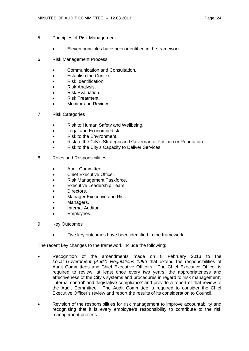- 5 Principles of Risk Management
	- Eleven principles have been identified in the framework.
- 6 Risk Management Process
	- Communication and Consultation.
	- Establish the Context.
	- Risk Identification.
	- Risk Analysis.
	- Risk Evaluation.
	- Risk Treatment.
	- Monitor and Review.
- 7 Risk Categories
	- Risk to Human Safety and Wellbeing.
	- Legal and Economic Risk.
	- Risk to the Environment.
	- Risk to the City's Strategic and Governance Position or Reputation.
	- Risk to the City's Capacity to Deliver Services.
- 8 Roles and Responsibilities
	- Audit Committee.
	- Chief Executive Officer.
	- Risk Management Taskforce.
	- Executive Leadership Team.
	- Directors.
	- Manager Executive and Risk.
	- Managers.
	- Internal Auditor.
	- Employees.
- 9 Key Outcomes
	- Five key outcomes have been identified in the framework.

The recent key changes to the framework include the following:

- Recognition of the amendments made on 8 February 2013 to the *Local Government (Audit) Regulations 1996* that extend the responsibilities of Audit Committees and Chief Executive Officers. The Chief Executive Officer is required to review, at least once every two years, the appropriateness and effectiveness of the City's systems and procedures in regard to 'risk management', 'internal control' and 'legislative compliance' and provide a report of that review to the Audit Committee. The Audit Committee is required to consider the Chief Executive Officer's review and report the results of its consideration to Council.
- Revision of the responsibilities for risk management to improve accountability and recognising that it is every employee's responsibility to contribute to the risk management process.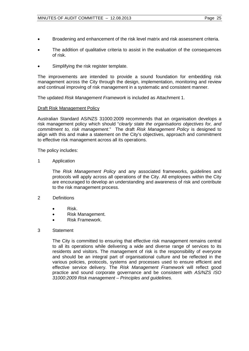- Broadening and enhancement of the risk level matrix and risk assessment criteria.
- The addition of qualitative criteria to assist in the evaluation of the consequences of risk.
- Simplifying the risk register template.

The improvements are intended to provide a sound foundation for embedding risk management across the City through the design, implementation, monitoring and review and continual improving of risk management in a systematic and consistent manner.

The updated *Risk Management Framework* is included as Attachment 1.

### Draft Risk Management Policy

Australian Standard AS/NZS 31000:2009 recommends that an organisation develops a risk management policy which should "*clearly state the organisations objectives for, and commitment to, risk management*." The draft *Risk Management Policy* is designed to align with this and make a statement on the City's objectives, approach and commitment to effective risk management across all its operations.

The policy includes:

1 Application

The *Risk Management Policy* and any associated frameworks, guidelines and protocols will apply across all operations of the City. All employees within the City are encouraged to develop an understanding and awareness of risk and contribute to the risk management process.

### 2 Definitions

- Risk.
- Risk Management.
- Risk Framework.

### 3 Statement

The City is committed to ensuring that effective risk management remains central to all its operations while delivering a wide and diverse range of services to its residents and visitors. The management of risk is the responsibility of everyone and should be an integral part of organisational culture and be reflected in the various policies, protocols, systems and processes used to ensure efficient and effective service delivery. The *Risk Management Framework* will reflect good practice and sound corporate governance and be consistent with *AS/NZS ISO 31000:2009 Risk management – Principles and guidelines.*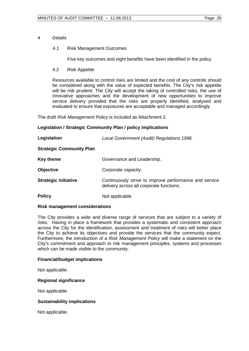### 4 Details

### 4.1 Risk Management Outcomes

Five key outcomes and eight benefits have been identified in the policy.

4.2 Risk Appetite

Resources available to control risks are limited and the cost of any controls should be considered along with the value of expected benefits. The City's risk appetite will be risk prudent. The City will accept the taking of controlled risks, the use of innovative approaches and the development of new opportunities to improve service delivery provided that the risks are properly identified, analysed and evaluated to ensure that exposures are acceptable and managed accordingly.

The draft *Risk Management Policy* is included as Attachment 2.

### **Legislation / Strategic Community Plan / policy implications**

| Legislation                     | Local Government (Audit) Regulations 1996.                                                         |
|---------------------------------|----------------------------------------------------------------------------------------------------|
| <b>Strategic Community Plan</b> |                                                                                                    |
| Key theme                       | Governance and Leadership.                                                                         |
| <b>Objective</b>                | Corporate capacity.                                                                                |
| <b>Strategic initiative</b>     | Continuously strive to improve performance and service<br>delivery across all corporate functions. |
| <b>Policy</b>                   | Not applicable.                                                                                    |

### **Risk management considerations**

The City provides a wide and diverse range of services that are subject to a variety of risks. Having in place a framework that provides a systematic and consistent approach across the City for the identification, assessment and treatment of risks will better place the City to achieve its objectives and provide the services that the community expect. Furthermore, the introduction of a *Risk Management Policy* will make a statement on the City's commitment and approach to risk management principles, systems and processes which can be made visible to the community.

### **Financial/budget implications**

Not applicable.

### **Regional significance**

Not applicable.

### **Sustainability implications**

Not applicable.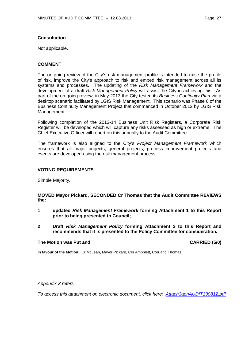### **Consultation**

Not applicable.

### **COMMENT**

The on-going review of the City's risk management profile is intended to raise the profile of risk, improve the City's approach to risk and embed risk management across all its systems and processes. The updating of the *Risk Management Framework* and the development of a draft *Risk Management Policy* will assist the City in achieving this. As part of the on-going review, in May 2013 the City tested its *Business Continuity Plan* via a desktop scenario facilitated by LGIS Risk Management. This scenario was Phase 6 of the Business Continuity Management Project that commenced in October 2012 by LGIS Risk Management.

Following completion of the 2013-14 Business Unit Risk Registers, a Corporate Risk Register will be developed which will capture any risks assessed as high or extreme. The Chief Executive Officer will report on this annually to the Audit Committee.

The framework is also aligned to the City's *Project Management Framework* which ensures that all major projects, general projects, process improvement projects and events are developed using the risk management process.

### **VOTING REQUIREMENTS**

Simple Majority.

### **MOVED Mayor Pickard, SECONDED Cr Thomas that the Audit Committee REVIEWS the:**

- **1 updated** *Risk Management Framework* **forming Attachment 1 to this Report prior to being presented to Council;**
- **2 Draft** *Risk Management Policy* **forming Attachment 2 to this Report and recommends that it is presented to the Policy Committee for consideration.**

### **The Motion was Put and CARRIED (5/0) CARRIED (5/0)**

**In favour of the Motion:** Cr McLean, Mayor Pickard, Crs Amphlett, Corr and Thomas.

### *Appendix 3 refers*

*To access this attachment on electronic document, click he[re: Attach3agnAUDIT130812.pdf](http://www.joondalup.wa.gov.au/files/committees/AUDT/2013/Attach3agnAUDIT130812.pdf)*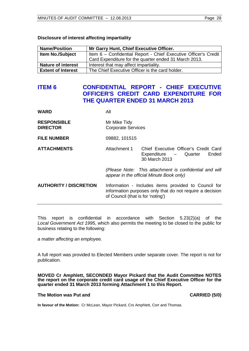### **Disclosure of interest affecting impartiality**

| <b>Name/Position</b>      | Mr Garry Hunt, Chief Executive Officer.                         |
|---------------------------|-----------------------------------------------------------------|
| <b>Item No./Subject</b>   | Item 6 - Confidential Report - Chief Executive Officer's Credit |
|                           | Card Expenditure for the quarter ended 31 March 2013.           |
| <b>Nature of interest</b> | Interest that may affect impartiality.                          |
| <b>Extent of Interest</b> | The Chief Executive Officer is the card holder.                 |

# <span id="page-27-0"></span>**ITEM 6 CONFIDENTIAL REPORT - CHIEF EXECUTIVE OFFICER'S CREDIT CARD EXPENDITURE FOR THE QUARTER ENDED 31 MARCH 2013**

| <b>WARD</b>                           | All                                       |                                                                                                                  |  |
|---------------------------------------|-------------------------------------------|------------------------------------------------------------------------------------------------------------------|--|
| <b>RESPONSIBLE</b><br><b>DIRECTOR</b> | Mr Mike Tidy<br><b>Corporate Services</b> |                                                                                                                  |  |
| <b>FILE NUMBER</b>                    | 09882, 101515                             |                                                                                                                  |  |
| <b>ATTACHMENTS</b>                    | Attachment 1                              | Chief Executive Officer's Credit Card<br>Expenditure - Quarter<br>Ended<br>30 March 2013                         |  |
|                                       |                                           | (Please Note: This attachment is confidential and will<br>appear in the official Minute Book only)               |  |
| <b>AUTHORITY / DISCRETION</b>         | of Council (that is for 'noting')         | Information - Includes items provided to Council for<br>information purposes only that do not require a decision |  |

This report is confidential in accordance with Section 5.23(2)(a) of the *Local Government Act 1995*, which also permits the meeting to be closed to the public for business relating to the following:

*a matter affecting an employee.*

A full report was provided to Elected Members under separate cover. The report is not for publication.

**MOVED Cr Amphlett, SECONDED Mayor Pickard that the Audit Committee NOTES the report on the corporate credit card usage of the Chief Executive Officer for the quarter ended 31 March 2013 forming Attachment 1 to this Report.**

### **The Motion was Put and CARRIED (5/0)**

**In favour of the Motion:** Cr McLean, Mayor Pickard, Crs Amphlett, Corr and Thomas.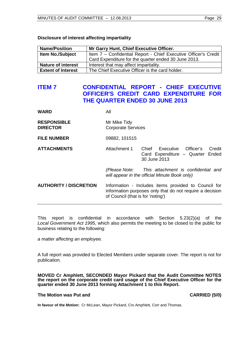### **Disclosure of interest affecting impartiality**

| <b>Name/Position</b>      | Mr Garry Hunt, Chief Executive Officer.                         |
|---------------------------|-----------------------------------------------------------------|
| <b>Item No./Subject</b>   | Item 7 - Confidential Report - Chief Executive Officer's Credit |
|                           | Card Expenditure for the quarter ended 30 June 2013.            |
| <b>Nature of interest</b> | Interest that may affect impartiality.                          |
| <b>Extent of Interest</b> | The Chief Executive Officer is the card holder.                 |

# <span id="page-28-0"></span>**ITEM 7 CONFIDENTIAL REPORT - CHIEF EXECUTIVE OFFICER'S CREDIT CARD EXPENDITURE FOR THE QUARTER ENDED 30 JUNE 2013**

| <b>WARD</b>                           | All                                                                                                                                                   |
|---------------------------------------|-------------------------------------------------------------------------------------------------------------------------------------------------------|
| <b>RESPONSIBLE</b><br><b>DIRECTOR</b> | Mr Mike Tidy<br><b>Corporate Services</b>                                                                                                             |
| <b>FILE NUMBER</b>                    | 09882, 101515                                                                                                                                         |
| <b>ATTACHMENTS</b>                    | Attachment 1<br>Chief Executive Officer's<br>Credit<br>Card Expenditure - Quarter Ended<br>30 June 2013                                               |
|                                       | (Please Note: This attachment is confidential and<br>will appear in the official Minute Book only)                                                    |
| <b>AUTHORITY / DISCRETION</b>         | Information - Includes items provided to Council for<br>information purposes only that do not require a decision<br>of Council (that is for 'noting') |

This report is confidential in accordance with Section 5.23(2)(a) of the *Local Government Act 1995*, which also permits the meeting to be closed to the public for business relating to the following:

*a matter affecting an employee.*

A full report was provided to Elected Members under separate cover. The report is not for publication.

**MOVED Cr Amphlett, SECONDED Mayor Pickard that the Audit Committee NOTES the report on the corporate credit card usage of the Chief Executive Officer for the quarter ended 30 June 2013 forming Attachment 1 to this Report.**

### **The Motion was Put and CARRIED (5/0)**

**In favour of the Motion:** Cr McLean, Mayor Pickard, Crs Amphlett, Corr and Thomas.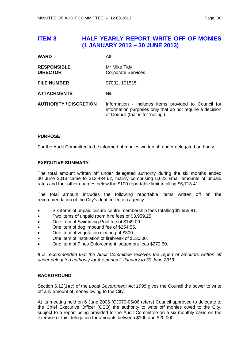# <span id="page-29-0"></span>**ITEM 8 HALF YEARLY REPORT WRITE OFF OF MONIES (1 JANUARY 2013 – 30 JUNE 2013)**

| <b>WARD</b>                           | All                                                                                                                                                    |
|---------------------------------------|--------------------------------------------------------------------------------------------------------------------------------------------------------|
| <b>RESPONSIBLE</b><br><b>DIRECTOR</b> | Mr Mike Tidy<br><b>Corporate Services</b>                                                                                                              |
| <b>FILE NUMBER</b>                    | 07032, 101515                                                                                                                                          |
| <b>ATTACHMENTS</b>                    | Nil.                                                                                                                                                   |
| <b>AUTHORITY / DISCRETION</b>         | Information - includes items provided to Council for<br>information purposes only that do not require a decision<br>of Council (that is for 'noting'). |

### **PURPOSE**

For the Audit Committee to be informed of monies written off under delegated authority.

### **EXECUTIVE SUMMARY**

The total amount written off under delegated authority during the six months ended 30 June 2013 came to \$13,434.62, mainly comprising 5,623 small amounts of unpaid rates and four other charges below the \$100 reportable limit totalling \$6,713.41.

The total amount includes the following reportable items written off on the recommendation of the City's debt collection agency:

- Six items of unpaid leisure centre membership fees totalling \$1,655.81.
- Two items of unpaid room hire fees of \$3,959.25.
- One item of Swimming Pool fee of \$149.09.
- One item of dog impound fee of \$254.55.
- One item of vegetation clearing of \$300.
- One item of installation of firebreak of \$130.00.
- One item of Fines Enforcement lodgement fees \$272.50.

It is recommended that the Audit Committee receives the report of amounts written off *under delegated authority for the period 1 January to 30 June 2013.*

### **BACKGROUND**

Section 6.12(1)(c) of the *Local Government Act 1995* gives the Council the power to write off any amount of money owing to the City.

At its meeting held on 6 June 2006 (CJ079-06/06 refers) Council approved to delegate to the Chief Executive Officer (CEO) the authority to write off monies owed to the City, subject to a report being provided to the Audit Committee on a six monthly basis on the exercise of this delegation for amounts between \$100 and \$20,000.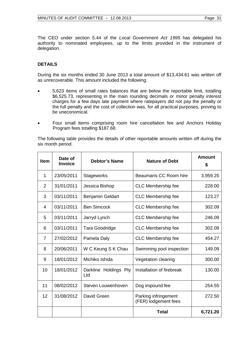The CEO under section 5.44 of the *Local Government Act 1995* has delegated his authority to nominated employees, up to the limits provided in the instrument of delegation.

### **DETAILS**

During the six months ended 30 June 2013 a total amount of \$13,434.61 was written off as unrecoverable. This amount included the following:

- 5,623 items of small rates balances that are below the reportable limit, totalling \$6,525.73, representing in the main rounding decimals or minor penalty interest charges for a few days late payment where ratepayers did not pay the penalty or the full penalty and the cost of collection was, for all practical purposes, proving to be uneconomical.
- Four small items comprising room hire cancellation fee and Anchors Holiday Program fees totalling \$187.68.

The following table provides the details of other reportable amounts written off during the six month period.

| <b>Item</b>    | Date of<br><b>Invoice</b> | <b>Debtor's Name</b>         | <b>Nature of Debt</b>                        | <b>Amount</b><br>\$ |
|----------------|---------------------------|------------------------------|----------------------------------------------|---------------------|
| 1              | 23/05/2011                | Stageworks                   | Beaumaris CC Room hire                       | 3,959.25            |
| $\overline{2}$ | 31/01/2011                | Jessica Bishop               | <b>CLC</b> Membership fee                    | 228.00              |
| 3              | 03/11/2011                | Benjamin Geldart             | <b>CLC</b> Membership fee                    | 123.27              |
| 4              | 03/11/2011                | <b>Ben Simcock</b>           | <b>CLC</b> Membership fee                    | 302.09              |
| 5              | 03/11/2011                | Jarryd Lynch                 | <b>CLC</b> Membership fee                    | 246.09              |
| 6              | 03/11/2011                | Tara Goodridge               | <b>CLC</b> Membership fee                    | 302.09              |
| 7              | 27/02/2012                | Pamela Daly                  | CLC Membership fee                           | 454.27              |
| 8              | 20/06/2011                | W C Keung S K Chau           | Swimming pool inspection                     | 149.09              |
| 9              | 18/01/2012                | Michiko Ishida               | Vegetation clearing                          | 300.00              |
| 10             | 18/01/2012                | Darkline Holdings Pty<br>Ltd | Installation of firebreak                    | 130.00              |
| 11             | 08/02/2012                | Steven Louwenhoven           | Dog impound fee                              | 254.55              |
| 12             | 31/08/2012                | David Green                  | Parking infringement<br>(FER) lodgement fees | 272.50              |
|                |                           |                              | <b>Total</b>                                 | 6,721.20            |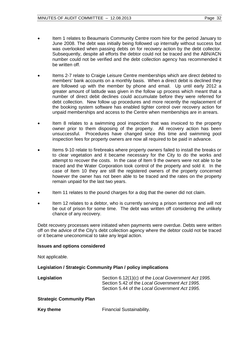- Item 1 relates to Beaumaris Community Centre room hire for the period January to June 2008. The debt was initially being followed up internally without success but was overlooked when passing debts on for recovery action by the debt collector. Subsequently, despite all efforts the debtor could not be traced and the ABN/ACN number could not be verified and the debt collection agency has recommended it be written off.
- Items 2-7 relate to Craigie Leisure Centre memberships which are direct debited to members' bank accounts on a monthly basis. When a direct debit is declined they are followed up with the member by phone and email. Up until early 2012 a greater amount of latitude was given in the follow up process which meant that a number of direct debit declines could accumulate before they were referred for debt collection. New follow up procedures and more recently the replacement of the booking system software has enabled tighter control over recovery action for unpaid memberships and access to the Centre when memberships are in arrears.
- Item 8 relates to a swimming pool inspection that was invoiced to the property owner prior to them disposing of the property. All recovery action has been unsuccessful. Procedures have changed since this time and swimming pool inspection fees for property owners are now all required to be paid in advance.
- Items 9-10 relate to firebreaks where property owners failed to install the breaks or to clear vegetation and it became necessary for the City to do the works and attempt to recover the costs. In the case of Item 9 the owners were not able to be traced and the Water Corporation took control of the property and sold it. In the case of Item 10 they are still the registered owners of the property concerned however the owner has not been able to be traced and the rates on the property remain unpaid for the last two years.
- Item 11 relates to the pound charges for a dog that the owner did not claim.
- Item 12 relates to a debtor, who is currently serving a prison sentence and will not be out of prison for some time. The debt was written off considering the unlikely chance of any recovery.

Debt recovery processes were initiated when payments were overdue. Debts were written off on the advice of the City's debt collection agency where the debtor could not be traced or it became uneconomical to take any legal action.

### **Issues and options considered**

Not applicable.

### **Legislation / Strategic Community Plan / policy implications**

| Legislation | Section 6.12(1)(c) of the Local Government Act 1995. |
|-------------|------------------------------------------------------|
|             | Section 5.42 of the Local Government Act 1995.       |
|             | Section 5.44 of the Local Government Act 1995.       |

### **Strategic Community Plan**

| <b>Key theme</b> | Financial Sustainability. |
|------------------|---------------------------|
|------------------|---------------------------|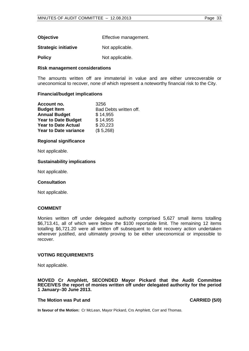| <b>Objective</b> | Effective management. |
|------------------|-----------------------|
|------------------|-----------------------|

**Strategic initiative** Not applicable.

**Policy** Not applicable.

### **Risk management considerations**

The amounts written off are immaterial in value and are either unrecoverable or uneconomical to recover, none of which represent a noteworthy financial risk to the City.

### **Financial/budget implications**

| Account no.                  | 3256                   |
|------------------------------|------------------------|
| <b>Budget Item</b>           | Bad Debts written off. |
| <b>Annual Budget</b>         | \$14,955               |
| <b>Year to Date Budget</b>   | \$14,955               |
| <b>Year to Date Actual</b>   | \$20,223               |
| <b>Year to Date variance</b> | (\$5,268)              |

### **Regional significance**

Not applicable.

### **Sustainability implications**

Not applicable.

### **Consultation**

Not applicable.

### **COMMENT**

Monies written off under delegated authority comprised 5,627 small items totalling \$6,713.41, all of which were below the \$100 reportable limit. The remaining 12 items totalling \$6,721.20 were all written off subsequent to debt recovery action undertaken wherever justified, and ultimately proving to be either uneconomical or impossible to recover.

### **VOTING REQUIREMENTS**

Not applicable.

**MOVED Cr Amphlett, SECONDED Mayor Pickard that the Audit Committee RECEIVES the report of monies written off under delegated authority for the period 1 January–30 June 2013.**

### **The Motion was Put and CARRIED (5/0)**

**In favour of the Motion:** Cr McLean, Mayor Pickard, Crs Amphlett, Corr and Thomas.